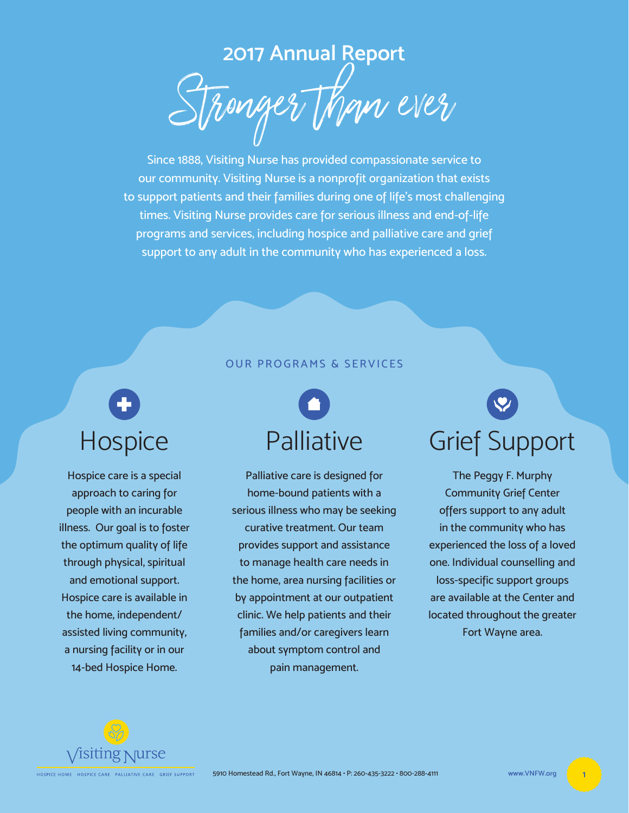**2017 Annual Report** Stronger than ever

Since 1888, Visiting Nurse has provided compassionate service to our community. Visiting Nurse is a nonprofit organization that exists to support patients and their families during one of life's most challenging times. Visiting Nurse provides care for serious illness and end-of-life programs and services, including hospice and palliative care and grief support to any adult in the community who has experienced a loss.

## OUR PROGRAMS & SERVICES

# **Hospice**

Hospice care is a special approach to caring for people with an incurable illness. Our goal is to foster the optimum quality of life through physical, spiritual and emotional support. Hospice care is available in the home, independent/ assisted living community, a nursing facility or in our 14-bed Hospice Home.

# Palliative

Palliative care is designed for home-bound patients with a serious illness who may be seeking curative treatment. Our team provides support and assistance to manage health care needs in the home, area nursing facilities or by appointment at our outpatient clinic. We help patients and their families and/or caregivers learn about symptom control and pain management.

Grief Support

The Peggy F. Murphy Community Grief Center offers support to any adult in the community who has experienced the loss of a loved one. Individual counselling and loss-specific support groups are available at the Center and located throughout the greater Fort Wayne area.

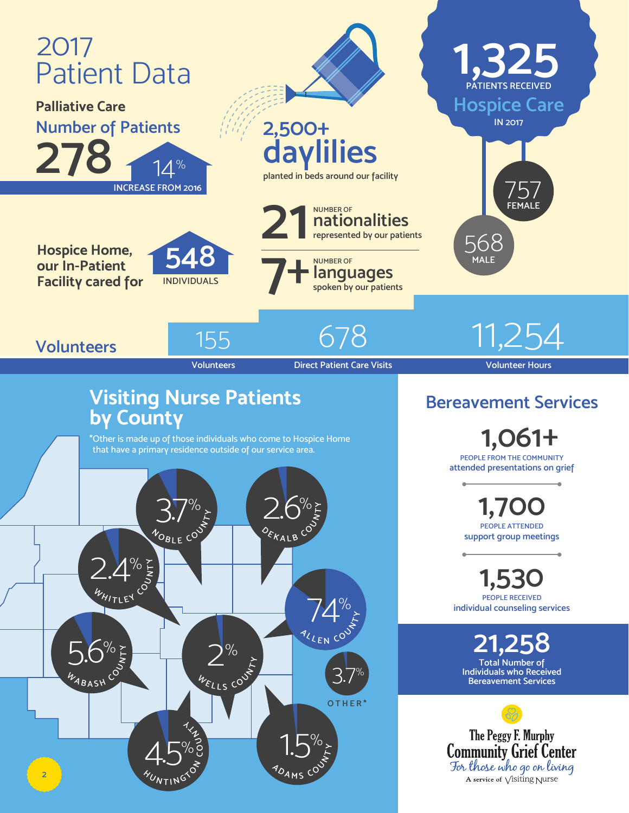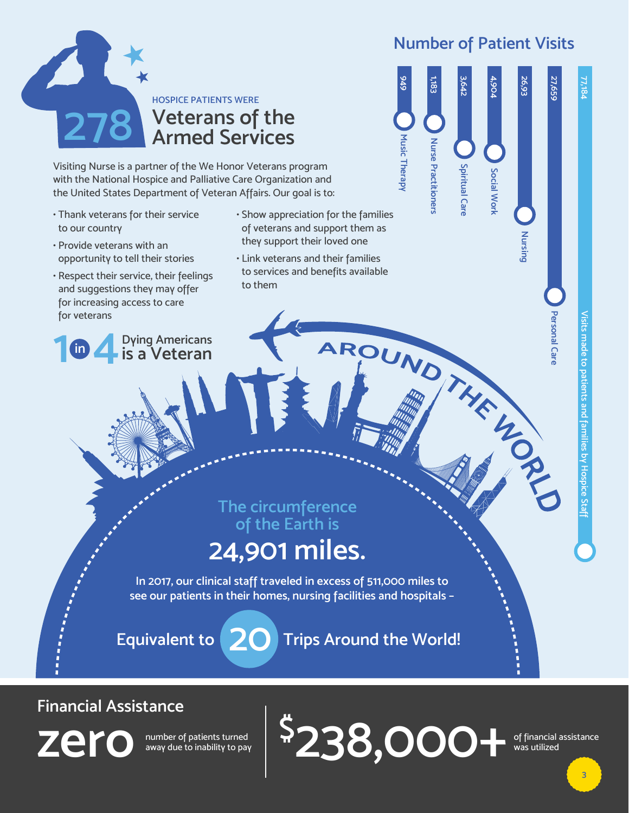# **Number of Patient Visits**

**Nursing 26,93**

Nursing

26,93

**Personal Care 27,659**

27,659

77,184



Visiting Nurse is a partner of the We Honor Veterans program with the National Hospice and Palliative Care Organization and the United States Department of Veteran Affairs. Our goal is to:

- Thank veterans for their service to our country
- Provide veterans with an opportunity to tell their stories
- Respect their service, their feelings and suggestions they may offer for increasing access to care for veterans
- **1 <b>i**n **4 Dying Americans**<br>**1 is a Veteran is a Veteran**
- Show appreciation for the families of veterans and support them as they support their loved one
- Link veterans and their families to services and benefits available to them AROUND THE LONG

**Music Therapy 949 Nurse Practitioners 1,183 Spiritual Care 3,642 Social Work 4,904**

**The circumference of the Earth is** 

# **24,901 miles.**

**In 2017, our clinical staff traveled in excess of 511,000 miles to see our patients in their homes, nursing facilities and hospitals –**

**\$**

**Equivalent to 20 Trips Around the World!**

# **Financial Assistance**

**zero** number of patients turned<br>away due to inability to pay

away due to inability to pay

of financial assistance was utilized **238,000+**